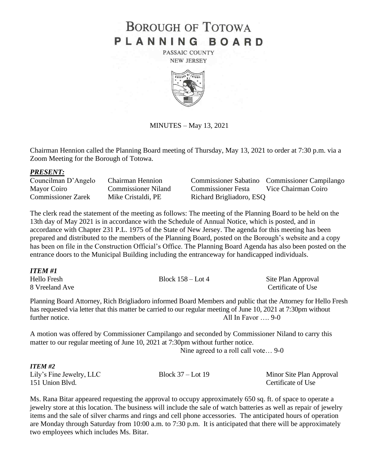# **BOROUGH OF TOTOWA** PLANNING BOARD

PASSAIC COUNTY **NEW JERSEY** 



MINUTES – May 13, 2021

Chairman Hennion called the Planning Board meeting of Thursday, May 13, 2021 to order at 7:30 p.m. via a Zoom Meeting for the Borough of Totowa.

### *PRESENT:*

Commissioner Zarek Mike Cristaldi, PE Richard Brigliadoro, ESQ

Councilman D'Angelo Chairman Hennion Commissioner Sabatino Commissioner Campilango Mayor Coiro Commissioner Niland Commissioner Festa Vice Chairman Coiro

The clerk read the statement of the meeting as follows: The meeting of the Planning Board to be held on the 13th day of May 2021 is in accordance with the Schedule of Annual Notice, which is posted, and in accordance with Chapter 231 P.L. 1975 of the State of New Jersey. The agenda for this meeting has been prepared and distributed to the members of the Planning Board, posted on the Borough's website and a copy has been on file in the Construction Official's Office. The Planning Board Agenda has also been posted on the entrance doors to the Municipal Building including the entranceway for handicapped individuals.

| <b>ITEM#1</b>  |                     |                    |
|----------------|---------------------|--------------------|
| Hello Fresh    | Block $158 -$ Lot 4 | Site Plan Approval |
| 8 Vreeland Ave |                     | Certificate of Use |

Planning Board Attorney, Rich Brigliadoro informed Board Members and public that the Attorney for Hello Fresh has requested via letter that this matter be carried to our regular meeting of June 10, 2021 at 7:30pm without further notice. All In Favor .... 9-0

A motion was offered by Commissioner Campilango and seconded by Commissioner Niland to carry this matter to our regular meeting of June 10, 2021 at 7:30pm without further notice.

Nine agreed to a roll call vote… 9-0

# *ITEM #2*

| Lily's Fine Jewelry, LLC | Block $37 -$ Lot 19 | Minor Site Plan Approval |
|--------------------------|---------------------|--------------------------|
| 151 Union Blvd.          |                     | Certificate of Use       |

Ms. Rana Bitar appeared requesting the approval to occupy approximately 650 sq. ft. of space to operate a jewelry store at this location. The business will include the sale of watch batteries as well as repair of jewelry items and the sale of silver charms and rings and cell phone accessories. The anticipated hours of operation are Monday through Saturday from 10:00 a.m. to 7:30 p.m. It is anticipated that there will be approximately two employees which includes Ms. Bitar.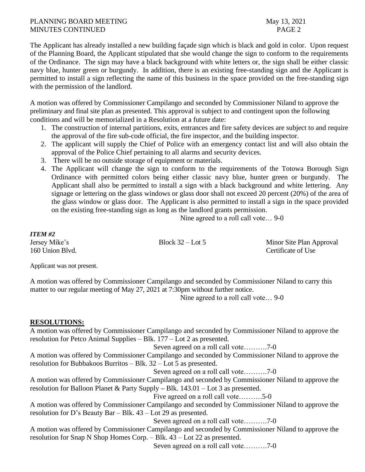# PLANNING BOARD MEETING May 13, 2021 MINUTES CONTINUED **PAGE 2**

The Applicant has already installed a new building façade sign which is black and gold in color. Upon request of the Planning Board, the Applicant stipulated that she would change the sign to conform to the requirements of the Ordinance. The sign may have a black background with white letters or, the sign shall be either classic navy blue, hunter green or burgundy. In addition, there is an existing free-standing sign and the Applicant is permitted to install a sign reflecting the name of this business in the space provided on the free-standing sign with the permission of the landlord.

A motion was offered by Commissioner Campilango and seconded by Commissioner Niland to approve the preliminary and final site plan as presented. This approval is subject to and contingent upon the following conditions and will be memorialized in a Resolution at a future date:

- 1. The construction of internal partitions, exits, entrances and fire safety devices are subject to and require the approval of the fire sub-code official, the fire inspector, and the building inspector.
- 2. The applicant will supply the Chief of Police with an emergency contact list and will also obtain the approval of the Police Chief pertaining to all alarms and security devices.
- 3. There will be no outside storage of equipment or materials.
- 4. The Applicant will change the sign to conform to the requirements of the Totowa Borough Sign Ordinance with permitted colors being either classic navy blue, hunter green or burgundy. The Applicant shall also be permitted to install a sign with a black background and white lettering. Any signage or lettering on the glass windows or glass door shall not exceed 20 percent (20%) of the area of the glass window or glass door. The Applicant is also permitted to install a sign in the space provided on the existing free-standing sign as long as the landlord grants permission.

Nine agreed to a roll call vote… 9-0

*ITEM #2* 160 Union Blvd. Certificate of Use

Jersey Mike's Block 32 – Lot 5 Minor Site Plan Approval

Applicant was not present.

A motion was offered by Commissioner Campilango and seconded by Commissioner Niland to carry this matter to our regular meeting of May 27, 2021 at 7:30pm without further notice.

Nine agreed to a roll call vote… 9-0

# **RESOLUTIONS:**

A motion was offered by Commissioner Campilango and seconded by Commissioner Niland to approve the resolution for Petco Animal Supplies – Blk. 177 – Lot 2 as presented.

Seven agreed on a roll call vote……….7-0

A motion was offered by Commissioner Campilango and seconded by Commissioner Niland to approve the resolution for Bubbakoos Burritos – Blk. 32 – Lot 5 as presented.

Seven agreed on a roll call vote……….7-0

A motion was offered by Commissioner Campilango and seconded by Commissioner Niland to approve the resolution for Balloon Planet & Party Supply *–* Blk. 143.01 – Lot 3 as presented.

Five agreed on a roll call vote……….5-0

A motion was offered by Commissioner Campilango and seconded by Commissioner Niland to approve the resolution for D's Beauty Bar – Blk. 43 – Lot 29 as presented.

Seven agreed on a roll call vote……….7-0

A motion was offered by Commissioner Campilango and seconded by Commissioner Niland to approve the resolution for Snap N Shop Homes Corp. – Blk. 43 – Lot 22 as presented.

Seven agreed on a roll call vote……….7-0